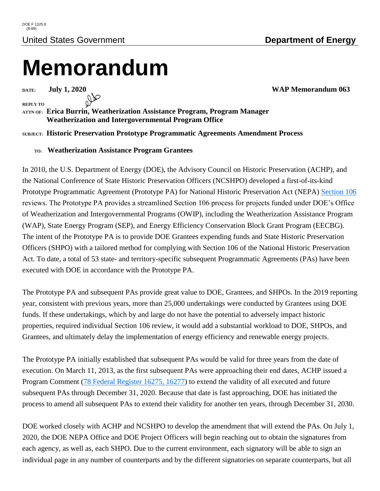## **Memorandum**

**DATE: July 1, 2020** WAP Memorandum 063

**REPLY TO**

## **ATTN OF: Erica Burrin, Weatherization Assistance Program, Program Manager Weatherization and Intergovernmental Program Office**

## **SUBJECT: Historic Preservation Prototype Programmatic Agreements Amendment Process**

## **TO: Weatherization Assistance Program Grantees**

In 2010, the U.S. Department of Energy (DOE), the Advisory Council on Historic Preservation (ACHP), and the National Conference of State Historic Preservation Officers (NCSHPO) developed a first-of-its-kind Prototype Programmatic Agreement (Prototype PA) for National Historic Preservation Act (NEPA) [Section 106](https://www.energy.gov/eere/wipo/historic-preservation-executed-programmatic-agreements) reviews. The Prototype PA provides a streamlined Section 106 process for projects funded under DOE's Office of Weatherization and Intergovernmental Programs (OWIP), including the Weatherization Assistance Program (WAP), State Energy Program (SEP), and Energy Efficiency Conservation Block Grant Program (EECBG). The intent of the Prototype PA is to provide DOE Grantees expending funds and State Historic Preservation Officers (SHPO) with a tailored method for complying with Section 106 of the National Historic Preservation Act. To date, a total of 53 state- and territory-specific subsequent Programmatic Agreements (PAs) have been executed with DOE in accordance with the Prototype PA.

The Prototype PA and subsequent PAs provide great value to DOE, Grantees, and SHPOs. In the 2019 reporting year, consistent with previous years, more than 25,000 undertakings were conducted by Grantees using DOE funds. If these undertakings, which by and large do not have the potential to adversely impact historic properties, required individual Section 106 review, it would add a substantial workload to DOE, SHPOs, and Grantees, and ultimately delay the implementation of energy efficiency and renewable energy projects.

The Prototype PA initially established that subsequent PAs would be valid for three years from the date of execution. On March 11, 2013, as the first subsequent PAs were approaching their end dates, ACHP issued a Program Comment [\(78 Federal Register](https://www.energy.gov/eere/wipo/downloads/federal-register-notice-advisory-council-historic-preservation) 16275, 16277) to extend the validity of all executed and future subsequent PAs through December 31, 2020. Because that date is fast approaching, DOE has initiated the process to amend all subsequent PAs to extend their validity for another ten years, through December 31, 2030.

DOE worked closely with ACHP and NCSHPO to develop the amendment that will extend the PAs. On July 1, 2020, the DOE NEPA Office and DOE Project Officers will begin reaching out to obtain the signatures from each agency, as well as, each SHPO. Due to the current environment, each signatory will be able to sign an individual page in any number of counterparts and by the different signatories on separate counterparts, but all